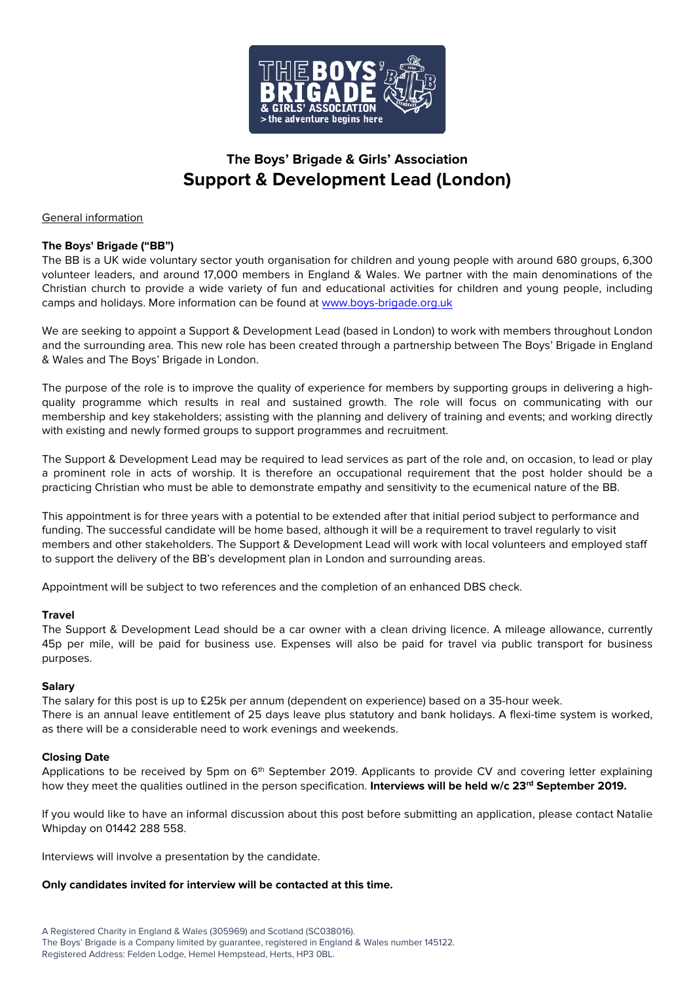

# **The Boys' Brigade & Girls' Association Support & Development Lead (London)**

### General information

### **The Boys' Brigade ("BB")**

The BB is a UK wide voluntary sector youth organisation for children and young people with around 680 groups, 6,300 volunteer leaders, and around 17,000 members in England & Wales. We partner with the main denominations of the Christian church to provide a wide variety of fun and educational activities for children and young people, including camps and holidays. More information can be found at [www.boys-brigade.org.uk](http://www.boys-brigade.org.uk/)

We are seeking to appoint a Support & Development Lead (based in London) to work with members throughout London and the surrounding area. This new role has been created through a partnership between The Boys' Brigade in England & Wales and The Boys' Brigade in London.

The purpose of the role is to improve the quality of experience for members by supporting groups in delivering a highquality programme which results in real and sustained growth. The role will focus on communicating with our membership and key stakeholders; assisting with the planning and delivery of training and events; and working directly with existing and newly formed groups to support programmes and recruitment.

The Support & Development Lead may be required to lead services as part of the role and, on occasion, to lead or play a prominent role in acts of worship. It is therefore an occupational requirement that the post holder should be a practicing Christian who must be able to demonstrate empathy and sensitivity to the ecumenical nature of the BB.

This appointment is for three years with a potential to be extended after that initial period subject to performance and funding. The successful candidate will be home based, although it will be a requirement to travel regularly to visit members and other stakeholders. The Support & Development Lead will work with local volunteers and employed staff to support the delivery of the BB's development plan in London and surrounding areas.

Appointment will be subject to two references and the completion of an enhanced DBS check.

#### **Travel**

The Support & Development Lead should be a car owner with a clean driving licence. A mileage allowance, currently 45p per mile, will be paid for business use. Expenses will also be paid for travel via public transport for business purposes.

#### **Salary**

The salary for this post is up to £25k per annum (dependent on experience) based on a 35-hour week. There is an annual leave entitlement of 25 days leave plus statutory and bank holidays. A flexi-time system is worked, as there will be a considerable need to work evenings and weekends.

#### **Closing Date**

Applications to be received by 5pm on 6<sup>th</sup> September 2019. Applicants to provide CV and covering letter explaining how they meet the qualities outlined in the person specification. **Interviews will be held w/c 23rd September 2019.**

If you would like to have an informal discussion about this post before submitting an application, please contact Natalie Whipday on 01442 288 558.

Interviews will involve a presentation by the candidate.

#### **Only candidates invited for interview will be contacted at this time.**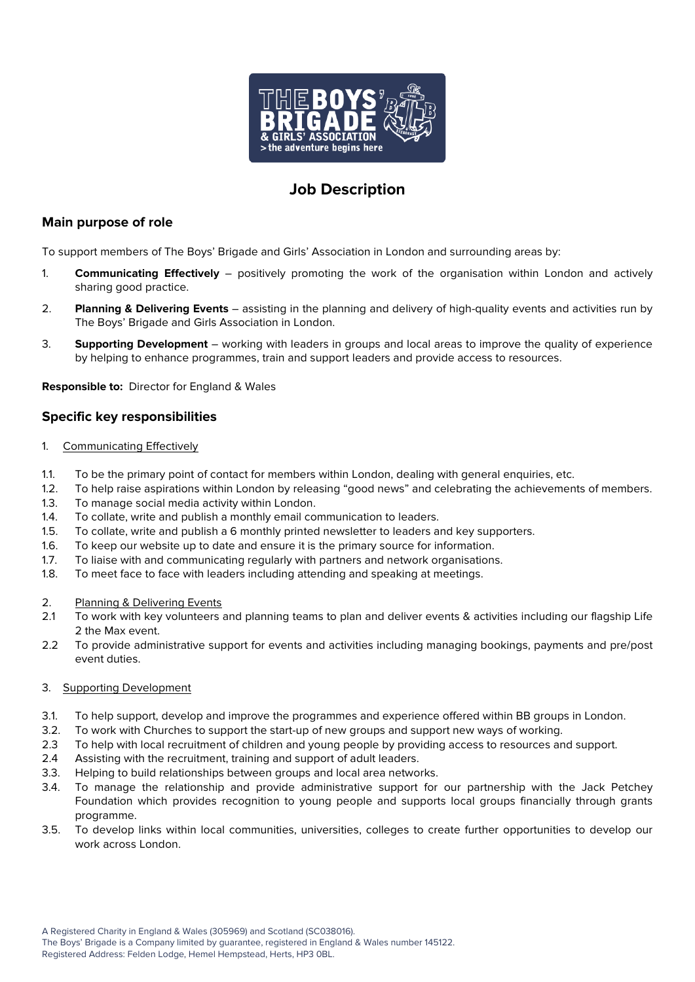

# **Job Description**

# **Main purpose of role**

To support members of The Boys' Brigade and Girls' Association in London and surrounding areas by:

- 1. **Communicating Effectively** positively promoting the work of the organisation within London and actively sharing good practice.
- 2. **Planning & Delivering Events** assisting in the planning and delivery of high-quality events and activities run by The Boys' Brigade and Girls Association in London.
- 3. **Supporting Development** working with leaders in groups and local areas to improve the quality of experience by helping to enhance programmes, train and support leaders and provide access to resources.

**Responsible to:** Director for England & Wales

# **Specific key responsibilities**

#### 1. Communicating Effectively

- 1.1. To be the primary point of contact for members within London, dealing with general enquiries, etc.
- 1.2. To help raise aspirations within London by releasing "good news" and celebrating the achievements of members.
- 1.3. To manage social media activity within London.
- 1.4. To collate, write and publish a monthly email communication to leaders.
- 1.5. To collate, write and publish a 6 monthly printed newsletter to leaders and key supporters.
- 1.6. To keep our website up to date and ensure it is the primary source for information.
- 1.7. To liaise with and communicating regularly with partners and network organisations.
- 1.8. To meet face to face with leaders including attending and speaking at meetings.

#### 2. Planning & Delivering Events

- 2.1 To work with key volunteers and planning teams to plan and deliver events & activities including our flagship Life 2 the Max event.
- 2.2 To provide administrative support for events and activities including managing bookings, payments and pre/post event duties.

#### 3. Supporting Development

- 3.1. To help support, develop and improve the programmes and experience offered within BB groups in London.
- 3.2. To work with Churches to support the start-up of new groups and support new ways of working.
- 2.3 To help with local recruitment of children and young people by providing access to resources and support.
- 2.4 Assisting with the recruitment, training and support of adult leaders.
- 3.3. Helping to build relationships between groups and local area networks.
- 3.4. To manage the relationship and provide administrative support for our partnership with the Jack Petchey Foundation which provides recognition to young people and supports local groups financially through grants programme.
- 3.5. To develop links within local communities, universities, colleges to create further opportunities to develop our work across London.